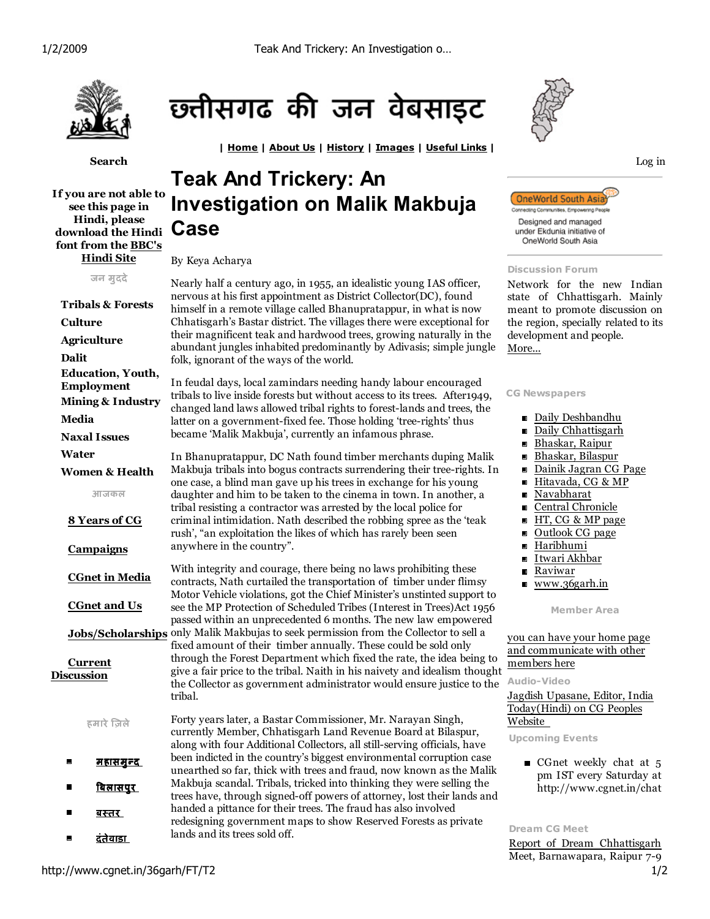| Home | About Us | History | Images | Useful Links |



Search

If you are not able to see this page in Hindi, please download the Hindi Case font from the BBC's Hindi Site

जन मुददे Tribals & Forests Culture Agriculture Dalit Education, Youth, Employment Mining & Industry Media Naxal Issues Water Women & Health आजकल 8 Years of CG **Campaigns**  CGnet in Media CGnet and Us Current Discussion हमारे ज़ले  $\blacksquare$ <u>महासमुन्द</u>  $\blacksquare$ <u>बिलासपुर</u>



छ्तीसगढ की जन वेबसाइट

# By Keya Acharya

Nearly half a century ago, in 1955, an idealistic young IAS officer, nervous at his first appointment as District Collector(DC), found himself in a remote village called Bhanupratappur, in what is now Chhatisgarh's Bastar district. The villages there were exceptional for their magnificent teak and hardwood trees, growing naturally in the abundant jungles inhabited predominantly by Adivasis; simple jungle folk, ignorant of the ways of the world.

In feudal days, local zamindars needing handy labour encouraged tribals to live inside forests but without access to its trees. After1949, changed land laws allowed tribal rights to forest-lands and trees, the latter on a government-fixed fee. Those holding 'tree-rights' thus became 'Malik Makbuja', currently an infamous phrase.

In Bhanupratappur, DC Nath found timber merchants duping Malik Makbuja tribals into bogus contracts surrendering their tree-rights. In one case, a blind man gave up his trees in exchange for his young daughter and him to be taken to the cinema in town. In another, a tribal resisting a contractor was arrested by the local police for criminal intimidation. Nath described the robbing spree as the 'teak rush', "an exploitation the likes of which has rarely been seen anywhere in the country".

Jobs/Scholarships only Malik Makbujas to seek permission from the Collector to sell a With integrity and courage, there being no laws prohibiting these contracts, Nath curtailed the transportation of timber under flimsy Motor Vehicle violations, got the Chief Minister's unstinted support to see the MP Protection of Scheduled Tribes (Interest in Trees)Act 1956 passed within an unprecedented 6 months. The new law empowered

fixed amount of their timber annually. These could be sold only through the Forest Department which fixed the rate, the idea being to give a fair price to the tribal. Naith in his naivety and idealism thought the Collector as government administrator would ensure justice to the tribal.

<u>बस्तर </u> दंतेवाड़ा Forty years later, a Bastar Commissioner, Mr. Narayan Singh, currently Member, Chhatisgarh Land Revenue Board at Bilaspur, along with four Additional Collectors, all still-serving officials, have been indicted in the country's biggest environmental corruption case unearthed so far, thick with trees and fraud, now known as the Malik Makbuja scandal. Tribals, tricked into thinking they were selling the trees have, through signed-off powers of attorney, lost their lands and handed a pittance for their trees. The fraud has also involved redesigning government maps to show Reserved Forests as private lands and its trees sold off.





### Discussion Forum

Network for the new Indian state of Chhattisgarh. Mainly meant to promote discussion on the region, specially related to its development and people. More...

## CG Newspapers

- Daily Deshbandhu
- Daily Chhattisgarh
- Bhaskar, Raipur  $\blacksquare$
- $\blacksquare$ Bhaskar, Bilaspur
- Dainik Jagran CG Page  $\blacksquare$
- Hitavada, CG & MP  $\blacksquare$
- Navabharat
- Central Chronicle  $\blacksquare$
- HT, CG & MP page  $\blacksquare$
- $\blacksquare$ Outlook CG page
- $\blacksquare$ Haribhumi
- $\blacksquare$ Itwari Akhbar
- Raviwar  $\blacksquare$
- www.36garh.in

Member Area

# you can have your home page and communicate with other members here

Audio-Video

Jagdish Upasane, Editor, India Today(Hindi) on CG Peoples Website

Upcoming Events

Gnet weekly chat at  $5$ pm IST every Saturday at http://www.cgnet.in/chat

### Dream CG Meet

Report of Dream Chhattisgarh Meet, Barnawapara, Raipur 7-9

 $\blacksquare$ 

 $\blacksquare$